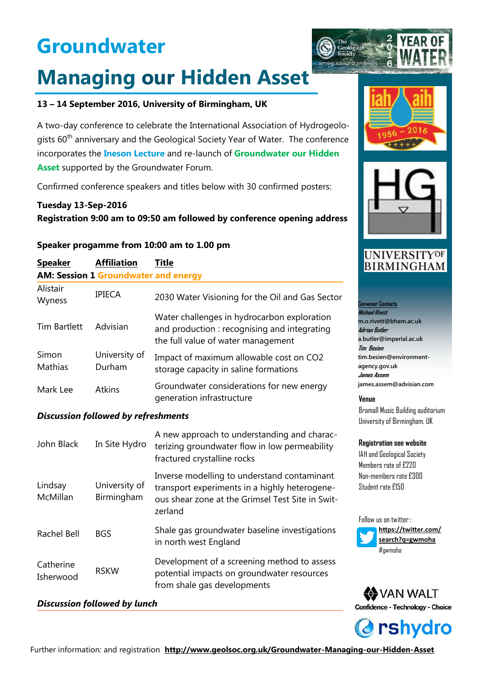# **Managing our Hidden Asset**

### **13 – 14 September 2016, University of Birmingham, UK**

A two-day conference to celebrate the International Association of Hydrogeologists  $60<sup>th</sup>$  anniversary and the Geological Society Year of Water. The conference incorporates the **Ineson Lecture** and re-launch of **Groundwater our Hidden Asset** supported by the Groundwater Forum.

Confirmed conference speakers and titles below with 30 confirmed posters:

## **Tuesday 13-Sep-2016 Registration 9:00 am to 09:50 am followed by conference opening address**

#### **Speaker progamme from 10:00 am to 1.00 pm**

| <u>Speaker</u>          | <b>Affiliation</b>                          | Title                                                                                                                            |
|-------------------------|---------------------------------------------|----------------------------------------------------------------------------------------------------------------------------------|
|                         | <b>AM: Session 1 Groundwater and energy</b> |                                                                                                                                  |
| Alistair<br>Wyness      | <b>IPIECA</b>                               | 2030 Water Visioning for the Oil and Gas Sector                                                                                  |
| <b>Tim Bartlett</b>     | Advisian                                    | Water challenges in hydrocarbon exploration<br>and production: recognising and integrating<br>the full value of water management |
| Simon<br><b>Mathias</b> | University of<br>Durham                     | Impact of maximum allowable cost on CO2<br>storage capacity in saline formations                                                 |
| Mark Lee                | <b>Atkins</b>                               | Groundwater considerations for new energy<br>generation infrastructure                                                           |

#### *Discussion followed by refreshments*

| John Black             | In Site Hydro               | A new approach to understanding and charac-<br>terizing groundwater flow in low permeability<br>fractured crystalline rocks                                 |
|------------------------|-----------------------------|-------------------------------------------------------------------------------------------------------------------------------------------------------------|
| Lindsay<br>McMillan    | University of<br>Birmingham | Inverse modelling to understand contaminant<br>transport experiments in a highly heterogene-<br>ous shear zone at the Grimsel Test Site in Swit-<br>zerland |
| Rachel Bell            | <b>BGS</b>                  | Shale gas groundwater baseline investigations<br>in north west England                                                                                      |
| Catherine<br>Isherwood | <b>RSKW</b>                 | Development of a screening method to assess<br>potential impacts on groundwater resources<br>from shale gas developments                                    |

### *Discussion followed by lunch*







## **UNIVERSITYOF BIRMINGHAM**

#### **Convenor Contacts Michael Rivett m.o.rivett@bham.ac.uk Adrian Butler a.butler@imperial.ac.uk Tim Besien tim.besien@environmentagency.gov.uk James Assem james.assem@advisian.com**

**Venue**

Bramall Music Building auditorium University of Birmingham, UK

#### **Registration see website**

IAH and Geological Society Members rate of  $F27\Pi$ Non-members rate £300 Student rate £150





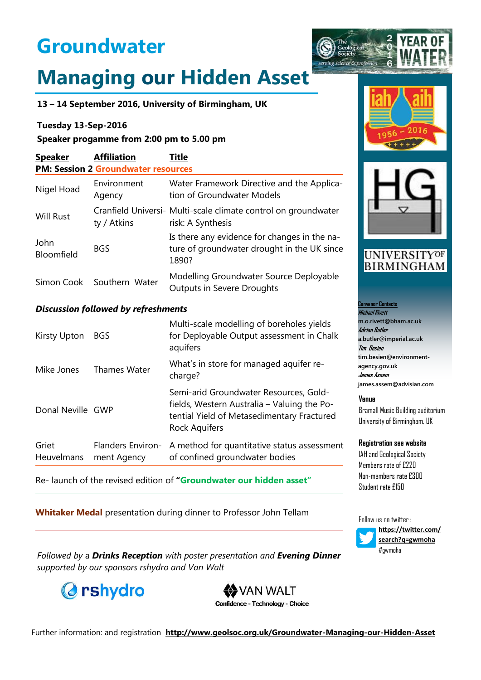# **Managing our Hidden Asset**

**13 – 14 September 2016, University of Birmingham, UK** 

### **Tuesday 13-Sep-2016**

**Speaker progamme from 2:00 pm to 5.00 pm**

| <b>Speaker</b>            | <b>Affiliation</b><br><b>PM: Session 2 Groundwater resources</b> | Title                                                                                                |
|---------------------------|------------------------------------------------------------------|------------------------------------------------------------------------------------------------------|
| Nigel Hoad                | Environment<br>Agency                                            | Water Framework Directive and the Applica-<br>tion of Groundwater Models                             |
| <b>Will Rust</b>          | ty / Atkins                                                      | Cranfield Universi- Multi-scale climate control on groundwater<br>risk: A Synthesis                  |
| John<br><b>Bloomfield</b> | <b>BGS</b>                                                       | Is there any evidence for changes in the na-<br>ture of groundwater drought in the UK since<br>1890? |
|                           | Simon Cook Southern Water                                        | Modelling Groundwater Source Deployable<br><b>Outputs in Severe Droughts</b>                         |
|                           | <b>Discussion followed by refreshments</b>                       |                                                                                                      |
| <b>Kirsty Upton</b>       | <b>BGS</b>                                                       | Multi-scale modelling of boreholes yields<br>for Deployable Output assessment in Chalk<br>aquifarc   |

|                     |                     | aquifers                                                                                                                                                    |
|---------------------|---------------------|-------------------------------------------------------------------------------------------------------------------------------------------------------------|
| Mike Jones          | <b>Thames Water</b> | What's in store for managed aquifer re-<br>charge?                                                                                                          |
| Donal Neville GWP   |                     | Semi-arid Groundwater Resources, Gold-<br>fields, Western Australia - Valuing the Po-<br>tential Yield of Metasedimentary Fractured<br><b>Rock Aquifers</b> |
| Griet<br>Heuvelmans | ment Agency         | Flanders Environ- A method for quantitative status assessment<br>of confined groundwater bodies                                                             |

Re- launch of the revised edition of **"Groundwater our hidden asset"** 



serving scier



## **UNIVERSITYOF BIRMINGHAM**

**Convenor Contacts Michael Rivett m.o.rivett@bham.ac.uk Adrian Butler a.butler@imperial.ac.uk Tim Besien tim.besien@environmentagency.gov.uk James Assem james.assem@advisian.com**

**Venue**

Bramall Music Building auditorium University of Birmingham, UK

#### **Registration see website**

IAH and Geological Society Members rate of  $F27\Pi$ Non-members rate £300 Student rate £150

**Whitaker Medal** presentation during dinner to Professor John Tellam



*Followed by* a *Drinks Reception with poster presentation and Evening Dinner supported by our sponsors rshydro and Van Walt*





Further information: and registration **<http://www.geolsoc.org.uk/Groundwater-Managing-our-Hidden-Asset>**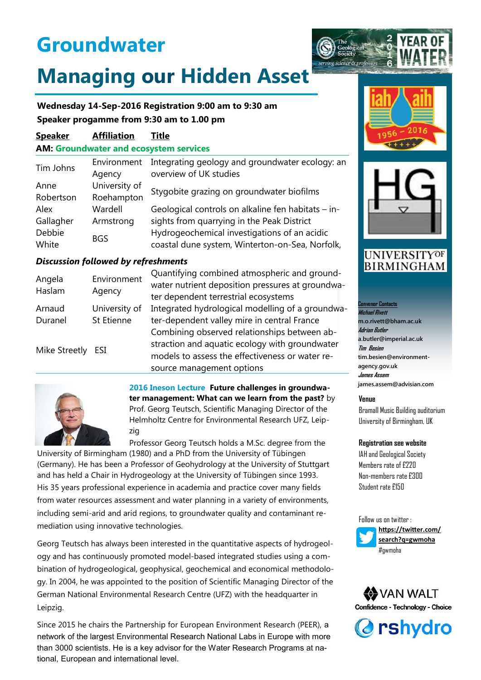# **Managing our Hidden Asset**

### **Wednesday 14-Sep-2016 Registration 9:00 am to 9:30 am Speaker progamme from 9:30 am to 1.00 pm**

| <b>Speaker</b>                                | <b>Affiliation</b>          | <b>Title</b>                                                                                    |  |
|-----------------------------------------------|-----------------------------|-------------------------------------------------------------------------------------------------|--|
| <b>AM: Groundwater and ecosystem services</b> |                             |                                                                                                 |  |
| Tim Johns                                     | Environment<br>Agency       | Integrating geology and groundwater ecology: an<br>overview of UK studies                       |  |
| Anne<br>Robertson                             | University of<br>Roehampton | Stygobite grazing on groundwater biofilms                                                       |  |
| Alex                                          | Wardell                     | Geological controls on alkaline fen habitats – in-                                              |  |
| Gallagher                                     | Armstrong                   | sights from quarrying in the Peak District                                                      |  |
| Debbie<br>White                               | <b>BGS</b>                  | Hydrogeochemical investigations of an acidic<br>coastal dune system, Winterton-on-Sea, Norfolk, |  |

### *Discussion followed by refreshments*

| Angela<br>Haslam | Environment<br>Agency | Quantifying combined atmospheric and ground-     |
|------------------|-----------------------|--------------------------------------------------|
|                  |                       | water nutrient deposition pressures at groundwa- |
|                  |                       | ter dependent terrestrial ecosystems             |
| Arnaud           | University of         | Integrated hydrological modelling of a groundwa- |
| Duranel          | St Etienne            | ter-dependent valley mire in central France      |
|                  |                       | Combining observed relationships between ab-     |
| Mike Streetly    | ESI                   | straction and aquatic ecology with groundwater   |
|                  |                       | models to assess the effectiveness or water re-  |
|                  |                       | source management options                        |



**2016 Ineson Lecture Future challenges in groundwater management: What can we learn from the past?** by Prof. Georg Teutsch, Scientific Managing Director of the Helmholtz Centre for Environmental Research UFZ, Leipzig

Professor Georg Teutsch holds a M.Sc. degree from the

University of Birmingham (1980) and a PhD from the University of Tübingen (Germany). He has been a Professor of Geohydrology at the University of Stuttgart and has held a Chair in Hydrogeology at the University of Tübingen since 1993. His 35 years professional experience in academia and practice cover many fields from water resources assessment and water planning in a variety of environments, including semi-arid and arid regions, to groundwater quality and contaminant remediation using innovative technologies.

Georg Teutsch has always been interested in the quantitative aspects of hydrogeology and has continuously promoted model-based integrated studies using a combination of hydrogeological, geophysical, geochemical and economical methodology. In 2004, he was appointed to the position of Scientific Managing Director of the German National Environmental Research Centre (UFZ) with the headquarter in Leipzig.

Since 2015 he chairs the Partnership for European Environment Research (PEER), a network of the largest Environmental Research National Labs in Europe with more than 3000 scientists. He is a key advisor for the Water Research Programs at national, European and international level.







## **UNIVERSITYOF BIRMINGHAM**

**Convenor Contacts Michael Rivett m.o.rivett@bham.ac.uk Adrian Butler a.butler@imperial.ac.uk Tim Besien tim.besien@environmentagency.gov.uk James Assem james.assem@advisian.com**

#### **Venue**

Bramall Music Building auditorium University of Birmingham, UK

#### **Registration see website**

IAH and Geological Society Members rate of  $F27\Pi$ Non-members rate £300 Student rate £150